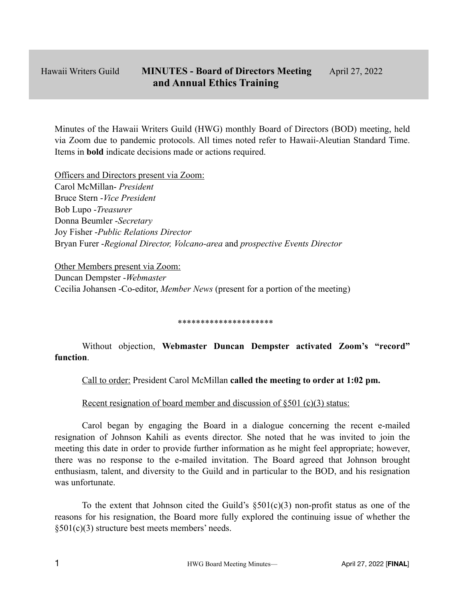Minutes of the Hawaii Writers Guild (HWG) monthly Board of Directors (BOD) meeting, held via Zoom due to pandemic protocols. All times noted refer to Hawaii-Aleutian Standard Time. Items in **bold** indicate decisions made or actions required.

Officers and Directors present via Zoom: Carol McMillan- *President* Bruce Stern -*Vice President* Bob Lupo -*Treasurer* Donna Beumler -*Secretary* Joy Fisher -*Public Relations Director* Bryan Furer -*Regional Director, Volcano-area* and *prospective Events Director*

Other Members present via Zoom: Duncan Dempster -*Webmaster* Cecilia Johansen -Co-editor, *Member News* (present for a portion of the meeting)

#### \*\*\*\*\*\*\*\*\*\*\*\*\*\*\*\*\*\*\*\*\*

Without objection, **Webmaster Duncan Dempster activated Zoom's "record" function**.

Call to order: President Carol McMillan **called the meeting to order at 1:02 pm.**

### Recent resignation of board member and discussion of  $\S501$  (c)(3) status:

Carol began by engaging the Board in a dialogue concerning the recent e-mailed resignation of Johnson Kahili as events director. She noted that he was invited to join the meeting this date in order to provide further information as he might feel appropriate; however, there was no response to the e-mailed invitation. The Board agreed that Johnson brought enthusiasm, talent, and diversity to the Guild and in particular to the BOD, and his resignation was unfortunate.

To the extent that Johnson cited the Guild's  $\S501(c)(3)$  non-profit status as one of the reasons for his resignation, the Board more fully explored the continuing issue of whether the §501(c)(3) structure best meets members' needs.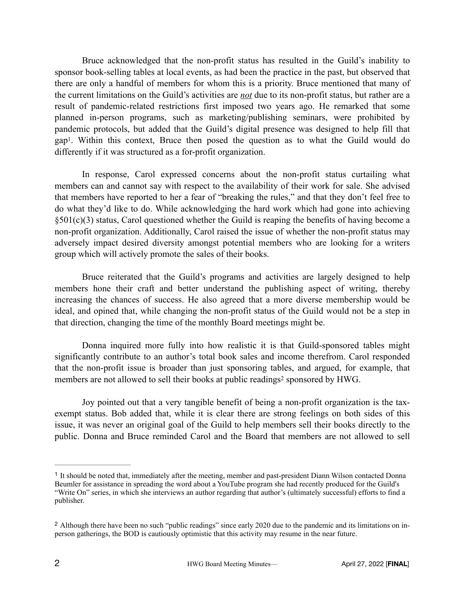Bruce acknowledged that the non-profit status has resulted in the Guild's inability to sponsor book-selling tables at local events, as had been the practice in the past, but observed that there are only a handful of members for whom this is a priority. Bruce mentioned that many of the current limitations on the Guild's activities are *not* due to its non-profit status, but rather are a result of pandemic-related restrictions first imposed two years ago. He remarked that some planned in-person programs, such as marketing/publishing seminars, were prohibited by pandemic protocols, but added that the Guild's digital presence was designed to help fill that gap<sup>[1](#page-1-0)</sup>. Within this context, Bruce then posed the question as to what the Guild would do differently if it was structured as a for-profit organization.

<span id="page-1-2"></span>In response, Carol expressed concerns about the non-profit status curtailing what members can and cannot say with respect to the availability of their work for sale. She advised that members have reported to her a fear of "breaking the rules," and that they don't feel free to do what they'd like to do. While acknowledging the hard work which had gone into achieving §501(c)(3) status, Carol questioned whether the Guild is reaping the benefits of having become a non-profit organization. Additionally, Carol raised the issue of whether the non-profit status may adversely impact desired diversity amongst potential members who are looking for a writers group which will actively promote the sales of their books.

Bruce reiterated that the Guild's programs and activities are largely designed to help members hone their craft and better understand the publishing aspect of writing, thereby increasing the chances of success. He also agreed that a more diverse membership would be ideal, and opined that, while changing the non-profit status of the Guild would not be a step in that direction, changing the time of the monthly Board meetings might be.

Donna inquired more fully into how realistic it is that Guild-sponsored tables might significantly contribute to an author's total book sales and income therefrom. Carol responded that the non-profit issue is broader than just sponsoring tables, and argued, for example, that membersare not allowed to sell their books at public readings<sup>2</sup> sponsored by HWG.

<span id="page-1-3"></span>Joy pointed out that a very tangible benefit of being a non-profit organization is the taxexempt status. Bob added that, while it is clear there are strong feelings on both sides of this issue, it was never an original goal of the Guild to help members sell their books directly to the public. Donna and Bruce reminded Carol and the Board that members are not allowed to sell

<span id="page-1-0"></span><sup>&</sup>lt;sup>[1](#page-1-2)</sup> It should be noted that, immediately after the meeting, member and past-president Diann Wilson contacted Donna Beumler for assistance in spreading the word about a YouTube program she had recently produced for the Guild's "Write On" series, in which she interviews an author regarding that author's (ultimately successful) efforts to find a publisher.

<span id="page-1-1"></span><sup>&</sup>lt;sup>[2](#page-1-3)</sup> Although there have been no such "public readings" since early 2020 due to the pandemic and its limitations on inperson gatherings, the BOD is cautiously optimistic that this activity may resume in the near future.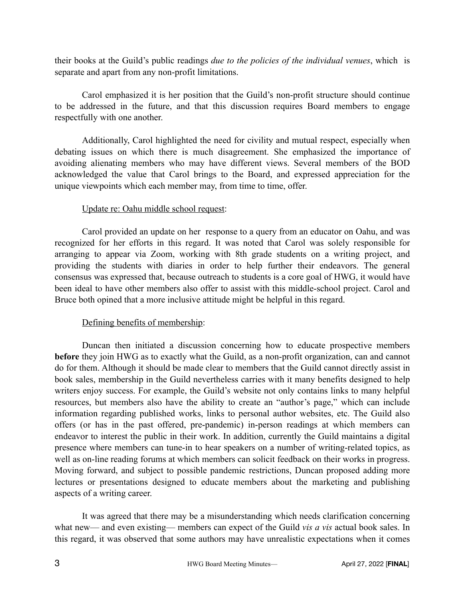their books at the Guild's public readings *due to the policies of the individual venues*, which is separate and apart from any non-profit limitations.

Carol emphasized it is her position that the Guild's non-profit structure should continue to be addressed in the future, and that this discussion requires Board members to engage respectfully with one another.

Additionally, Carol highlighted the need for civility and mutual respect, especially when debating issues on which there is much disagreement. She emphasized the importance of avoiding alienating members who may have different views. Several members of the BOD acknowledged the value that Carol brings to the Board, and expressed appreciation for the unique viewpoints which each member may, from time to time, offer.

## Update re: Oahu middle school request:

Carol provided an update on her response to a query from an educator on Oahu, and was recognized for her efforts in this regard. It was noted that Carol was solely responsible for arranging to appear via Zoom, working with 8th grade students on a writing project, and providing the students with diaries in order to help further their endeavors. The general consensus was expressed that, because outreach to students is a core goal of HWG, it would have been ideal to have other members also offer to assist with this middle-school project. Carol and Bruce both opined that a more inclusive attitude might be helpful in this regard.

### Defining benefits of membership:

Duncan then initiated a discussion concerning how to educate prospective members **before** they join HWG as to exactly what the Guild, as a non-profit organization, can and cannot do for them. Although it should be made clear to members that the Guild cannot directly assist in book sales, membership in the Guild nevertheless carries with it many benefits designed to help writers enjoy success. For example, the Guild's website not only contains links to many helpful resources, but members also have the ability to create an "author's page," which can include information regarding published works, links to personal author websites, etc. The Guild also offers (or has in the past offered, pre-pandemic) in-person readings at which members can endeavor to interest the public in their work. In addition, currently the Guild maintains a digital presence where members can tune-in to hear speakers on a number of writing-related topics, as well as on-line reading forums at which members can solicit feedback on their works in progress. Moving forward, and subject to possible pandemic restrictions, Duncan proposed adding more lectures or presentations designed to educate members about the marketing and publishing aspects of a writing career.

It was agreed that there may be a misunderstanding which needs clarification concerning what new— and even existing— members can expect of the Guild *vis a vis* actual book sales. In this regard, it was observed that some authors may have unrealistic expectations when it comes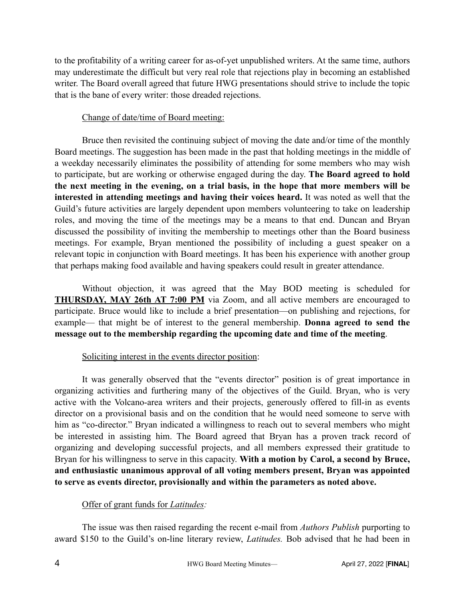to the profitability of a writing career for as-of-yet unpublished writers. At the same time, authors may underestimate the difficult but very real role that rejections play in becoming an established writer. The Board overall agreed that future HWG presentations should strive to include the topic that is the bane of every writer: those dreaded rejections.

### Change of date/time of Board meeting:

Bruce then revisited the continuing subject of moving the date and/or time of the monthly Board meetings. The suggestion has been made in the past that holding meetings in the middle of a weekday necessarily eliminates the possibility of attending for some members who may wish to participate, but are working or otherwise engaged during the day. **The Board agreed to hold the next meeting in the evening, on a trial basis, in the hope that more members will be interested in attending meetings and having their voices heard.** It was noted as well that the Guild's future activities are largely dependent upon members volunteering to take on leadership roles, and moving the time of the meetings may be a means to that end. Duncan and Bryan discussed the possibility of inviting the membership to meetings other than the Board business meetings. For example, Bryan mentioned the possibility of including a guest speaker on a relevant topic in conjunction with Board meetings. It has been his experience with another group that perhaps making food available and having speakers could result in greater attendance.

Without objection, it was agreed that the May BOD meeting is scheduled for **THURSDAY, MAY 26th AT 7:00 PM** via Zoom, and all active members are encouraged to participate. Bruce would like to include a brief presentation—on publishing and rejections, for example— that might be of interest to the general membership. **Donna agreed to send the message out to the membership regarding the upcoming date and time of the meeting**.

## Soliciting interest in the events director position:

It was generally observed that the "events director" position is of great importance in organizing activities and furthering many of the objectives of the Guild. Bryan, who is very active with the Volcano-area writers and their projects, generously offered to fill-in as events director on a provisional basis and on the condition that he would need someone to serve with him as "co-director." Bryan indicated a willingness to reach out to several members who might be interested in assisting him. The Board agreed that Bryan has a proven track record of organizing and developing successful projects, and all members expressed their gratitude to Bryan for his willingness to serve in this capacity. **With a motion by Carol, a second by Bruce, and enthusiastic unanimous approval of all voting members present, Bryan was appointed to serve as events director, provisionally and within the parameters as noted above.**

## Offer of grant funds for *Latitudes:*

The issue was then raised regarding the recent e-mail from *Authors Publish* purporting to award \$150 to the Guild's on-line literary review, *Latitudes.* Bob advised that he had been in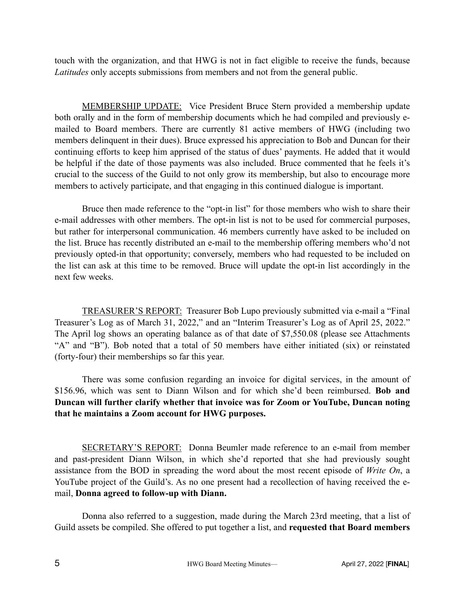touch with the organization, and that HWG is not in fact eligible to receive the funds, because *Latitudes* only accepts submissions from members and not from the general public.

MEMBERSHIP UPDATE: Vice President Bruce Stern provided a membership update both orally and in the form of membership documents which he had compiled and previously emailed to Board members. There are currently 81 active members of HWG (including two members delinquent in their dues). Bruce expressed his appreciation to Bob and Duncan for their continuing efforts to keep him apprised of the status of dues' payments. He added that it would be helpful if the date of those payments was also included. Bruce commented that he feels it's crucial to the success of the Guild to not only grow its membership, but also to encourage more members to actively participate, and that engaging in this continued dialogue is important.

Bruce then made reference to the "opt-in list" for those members who wish to share their e-mail addresses with other members. The opt-in list is not to be used for commercial purposes, but rather for interpersonal communication. 46 members currently have asked to be included on the list. Bruce has recently distributed an e-mail to the membership offering members who'd not previously opted-in that opportunity; conversely, members who had requested to be included on the list can ask at this time to be removed. Bruce will update the opt-in list accordingly in the next few weeks.

TREASURER'S REPORT: Treasurer Bob Lupo previously submitted via e-mail a "Final Treasurer's Log as of March 31, 2022," and an "Interim Treasurer's Log as of April 25, 2022." The April log shows an operating balance as of that date of \$7,550.08 (please see Attachments "A" and "B"). Bob noted that a total of 50 members have either initiated (six) or reinstated (forty-four) their memberships so far this year.

There was some confusion regarding an invoice for digital services, in the amount of \$156.96, which was sent to Diann Wilson and for which she'd been reimbursed. **Bob and Duncan will further clarify whether that invoice was for Zoom or YouTube, Duncan noting that he maintains a Zoom account for HWG purposes.** 

SECRETARY'S REPORT: Donna Beumler made reference to an e-mail from member and past-president Diann Wilson, in which she'd reported that she had previously sought assistance from the BOD in spreading the word about the most recent episode of *Write On*, a YouTube project of the Guild's. As no one present had a recollection of having received the email, **Donna agreed to follow-up with Diann.**

Donna also referred to a suggestion, made during the March 23rd meeting, that a list of Guild assets be compiled. She offered to put together a list, and **requested that Board members**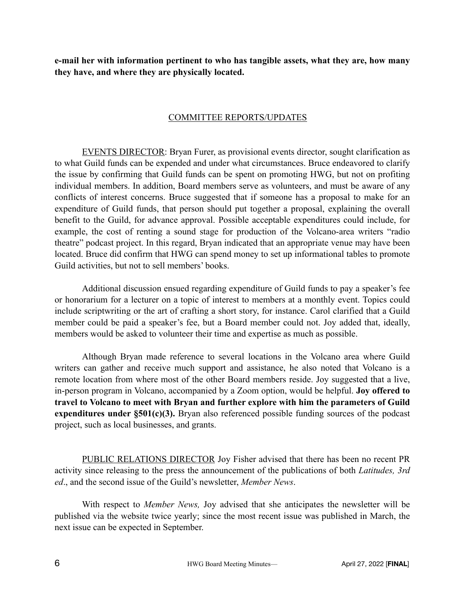**e-mail her with information pertinent to who has tangible assets, what they are, how many they have, and where they are physically located.**

### COMMITTEE REPORTS/UPDATES

EVENTS DIRECTOR: Bryan Furer, as provisional events director, sought clarification as to what Guild funds can be expended and under what circumstances. Bruce endeavored to clarify the issue by confirming that Guild funds can be spent on promoting HWG, but not on profiting individual members. In addition, Board members serve as volunteers, and must be aware of any conflicts of interest concerns. Bruce suggested that if someone has a proposal to make for an expenditure of Guild funds, that person should put together a proposal, explaining the overall benefit to the Guild, for advance approval. Possible acceptable expenditures could include, for example, the cost of renting a sound stage for production of the Volcano-area writers "radio theatre" podcast project. In this regard, Bryan indicated that an appropriate venue may have been located. Bruce did confirm that HWG can spend money to set up informational tables to promote Guild activities, but not to sell members' books.

Additional discussion ensued regarding expenditure of Guild funds to pay a speaker's fee or honorarium for a lecturer on a topic of interest to members at a monthly event. Topics could include scriptwriting or the art of crafting a short story, for instance. Carol clarified that a Guild member could be paid a speaker's fee, but a Board member could not. Joy added that, ideally, members would be asked to volunteer their time and expertise as much as possible.

Although Bryan made reference to several locations in the Volcano area where Guild writers can gather and receive much support and assistance, he also noted that Volcano is a remote location from where most of the other Board members reside. Joy suggested that a live, in-person program in Volcano, accompanied by a Zoom option, would be helpful. **Joy offered to travel to Volcano to meet with Bryan and further explore with him the parameters of Guild expenditures under §501(c)(3).** Bryan also referenced possible funding sources of the podcast project, such as local businesses, and grants.

PUBLIC RELATIONS DIRECTOR Joy Fisher advised that there has been no recent PR activity since releasing to the press the announcement of the publications of both *Latitudes, 3rd ed*., and the second issue of the Guild's newsletter, *Member News*.

With respect to *Member News,* Joy advised that she anticipates the newsletter will be published via the website twice yearly; since the most recent issue was published in March, the next issue can be expected in September.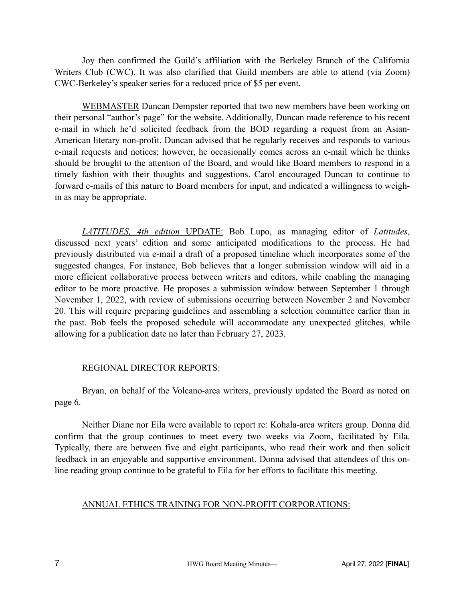Joy then confirmed the Guild's affiliation with the Berkeley Branch of the California Writers Club (CWC). It was also clarified that Guild members are able to attend (via Zoom) CWC-Berkeley's speaker series for a reduced price of \$5 per event.

WEBMASTER Duncan Dempster reported that two new members have been working on their personal "author's page" for the website. Additionally, Duncan made reference to his recent e-mail in which he'd solicited feedback from the BOD regarding a request from an Asian-American literary non-profit. Duncan advised that he regularly receives and responds to various e-mail requests and notices; however, he occasionally comes across an e-mail which he thinks should be brought to the attention of the Board, and would like Board members to respond in a timely fashion with their thoughts and suggestions. Carol encouraged Duncan to continue to forward e-mails of this nature to Board members for input, and indicated a willingness to weighin as may be appropriate.

*LATITUDES, 4th edition* UPDATE: Bob Lupo, as managing editor of *Latitudes*, discussed next years' edition and some anticipated modifications to the process. He had previously distributed via e-mail a draft of a proposed timeline which incorporates some of the suggested changes. For instance, Bob believes that a longer submission window will aid in a more efficient collaborative process between writers and editors, while enabling the managing editor to be more proactive. He proposes a submission window between September 1 through November 1, 2022, with review of submissions occurring between November 2 and November 20. This will require preparing guidelines and assembling a selection committee earlier than in the past. Bob feels the proposed schedule will accommodate any unexpected glitches, while allowing for a publication date no later than February 27, 2023.

### REGIONAL DIRECTOR REPORTS:

Bryan, on behalf of the Volcano-area writers, previously updated the Board as noted on page 6.

Neither Diane nor Eila were available to report re: Kohala-area writers group. Donna did confirm that the group continues to meet every two weeks via Zoom, facilitated by Eila. Typically, there are between five and eight participants, who read their work and then solicit feedback in an enjoyable and supportive environment. Donna advised that attendees of this online reading group continue to be grateful to Eila for her efforts to facilitate this meeting.

### ANNUAL ETHICS TRAINING FOR NON-PROFIT CORPORATIONS: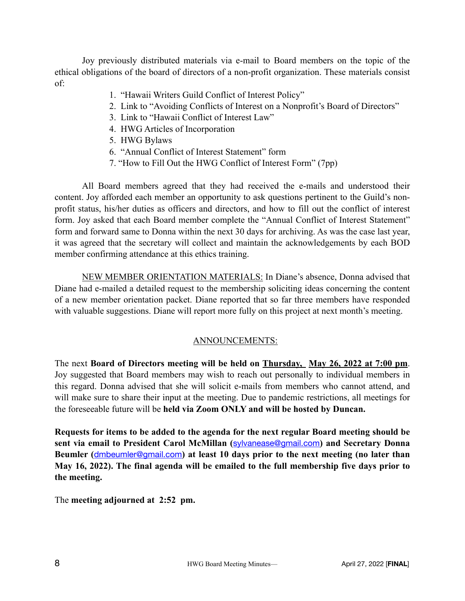Joy previously distributed materials via e-mail to Board members on the topic of the ethical obligations of the board of directors of a non-profit organization. These materials consist of:

- 1. "Hawaii Writers Guild Conflict of Interest Policy"
- 2. Link to "Avoiding Conflicts of Interest on a Nonprofit's Board of Directors"
- 3. Link to "Hawaii Conflict of Interest Law"
- 4. HWG Articles of Incorporation
- 5. HWG Bylaws
- 6. "Annual Conflict of Interest Statement" form
- 7. "How to Fill Out the HWG Conflict of Interest Form" (7pp)

All Board members agreed that they had received the e-mails and understood their content. Joy afforded each member an opportunity to ask questions pertinent to the Guild's nonprofit status, his/her duties as officers and directors, and how to fill out the conflict of interest form. Joy asked that each Board member complete the "Annual Conflict of Interest Statement" form and forward same to Donna within the next 30 days for archiving. As was the case last year, it was agreed that the secretary will collect and maintain the acknowledgements by each BOD member confirming attendance at this ethics training.

NEW MEMBER ORIENTATION MATERIALS: In Diane's absence, Donna advised that Diane had e-mailed a detailed request to the membership soliciting ideas concerning the content of a new member orientation packet. Diane reported that so far three members have responded with valuable suggestions. Diane will report more fully on this project at next month's meeting.

### ANNOUNCEMENTS:

The next **Board of Directors meeting will be held on Thursday, May 26, 2022 at 7:00 pm**. Joy suggested that Board members may wish to reach out personally to individual members in this regard. Donna advised that she will solicit e-mails from members who cannot attend, and will make sure to share their input at the meeting. Due to pandemic restrictions, all meetings for the foreseeable future will be **held via Zoom ONLY and will be hosted by Duncan.** 

**Requests for items to be added to the agenda for the next regular Board meeting should be sent via email to President Carol McMillan (**[sylvanease@gmail.com](mailto:sylvanease@gmail.com)**) and Secretary Donna Beumler (**[dmbeumler@gmail.com](mailto:dmbeumler@gmail.com)**) at least 10 days prior to the next meeting (no later than May 16, 2022). The final agenda will be emailed to the full membership five days prior to the meeting.**

The **meeting adjourned at 2:52 pm.**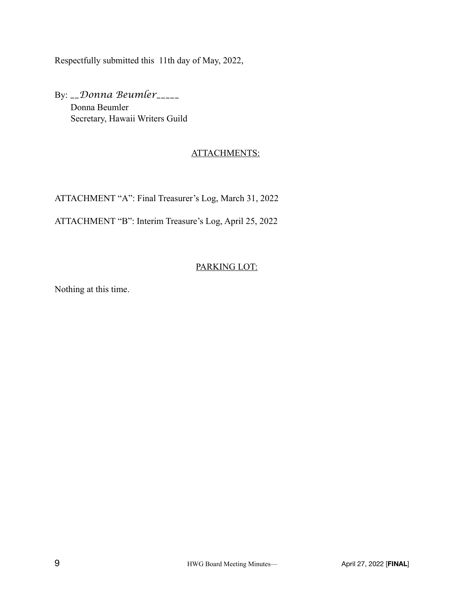Respectfully submitted this 11th day of May, 2022,

By: *\_\_Donna Beumler\_\_\_\_\_* Donna Beumler Secretary, Hawaii Writers Guild

## ATTACHMENTS:

ATTACHMENT "A": Final Treasurer's Log, March 31, 2022

ATTACHMENT "B": Interim Treasure's Log, April 25, 2022

## PARKING LOT:

Nothing at this time.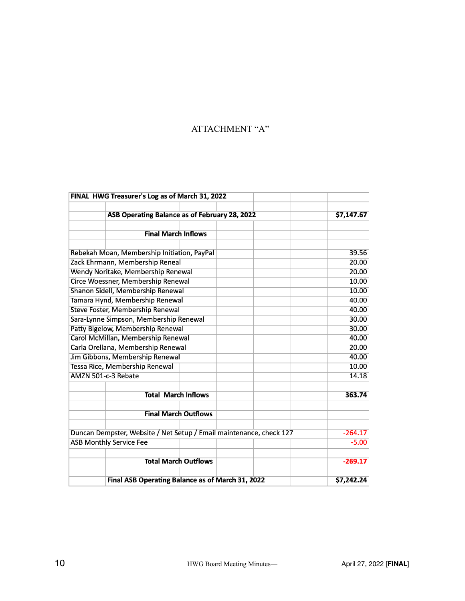## ATTACHMENT "A"

|                                                                     | FINAL HWG Treasurer's Log as of March 31, 2022   |       |            |
|---------------------------------------------------------------------|--------------------------------------------------|-------|------------|
|                                                                     | ASB Operating Balance as of February 28, 2022    |       | \$7,147.67 |
|                                                                     |                                                  |       |            |
|                                                                     | <b>Final March Inflows</b>                       |       |            |
|                                                                     |                                                  |       |            |
| Rebekah Moan, Membership Initiation, PayPal                         |                                                  |       | 39.56      |
| Zack Ehrmann, Membership Reneal                                     |                                                  |       | 20.00      |
| Wendy Noritake, Membership Renewal                                  |                                                  |       | 20.00      |
| Circe Woessner, Membership Renewal                                  |                                                  |       | 10.00      |
| Shanon Sidell, Membership Renewal                                   |                                                  |       | 10.00      |
| Tamara Hynd, Membership Renewal                                     |                                                  |       | 40.00      |
| Steve Foster, Membership Renewal                                    |                                                  |       | 40.00      |
| Sara-Lynne Simpson, Membership Renewal                              |                                                  |       | 30.00      |
| Patty Bigelow, Membership Renewal                                   |                                                  | 30.00 |            |
| Carol McMillan, Membership Renewal                                  |                                                  |       | 40.00      |
| Carla Orellana, Membership Renewal                                  |                                                  |       | 20.00      |
| Jim Gibbons, Membership Renewal                                     |                                                  |       | 40.00      |
| Tessa Rice, Membership Renewal                                      |                                                  |       | 10.00      |
| AMZN 501-c-3 Rebate                                                 |                                                  |       | 14.18      |
|                                                                     |                                                  |       |            |
|                                                                     | <b>Total March Inflows</b>                       |       | 363.74     |
|                                                                     | <b>Final March Outflows</b>                      |       |            |
|                                                                     |                                                  |       |            |
| Duncan Dempster, Website / Net Setup / Email maintenance, check 127 |                                                  |       | $-264.17$  |
| <b>ASB Monthly Service Fee</b>                                      |                                                  |       | $-5.00$    |
|                                                                     | <b>Total March Outflows</b>                      |       | $-269.17$  |
|                                                                     | Final ASB Operating Balance as of March 31, 2022 |       | \$7,242.24 |